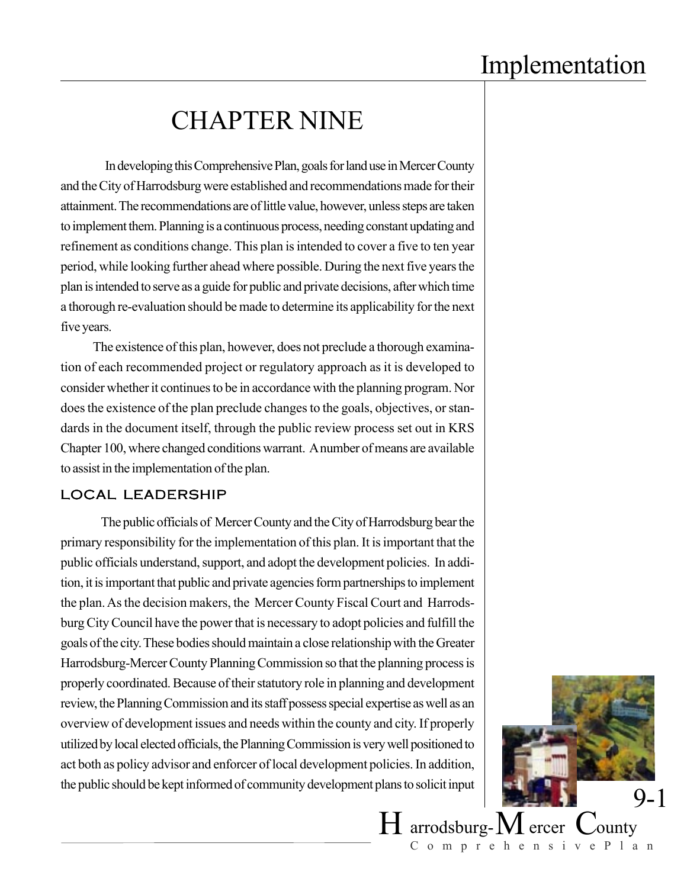# CHAPTER NINE

 In developing this Comprehensive Plan, goals for land use in Mercer County and the City of Harrodsburg were established and recommendations made for their attainment. The recommendations are of little value, however, unless steps are taken to implement them. Planning is a continuous process, needing constant updating and refinement as conditions change. This plan is intended to cover a five to ten year period, while looking further ahead where possible. During the next five years the plan is intended to serve as a guide for public and private decisions, after which time a thorough re-evaluation should be made to determine its applicability for the next five years.

The existence of this plan, however, does not preclude a thorough examination of each recommended project or regulatory approach as it is developed to consider whether it continues to be in accordance with the planning program. Nor does the existence of the plan preclude changes to the goals, objectives, or standards in the document itself, through the public review process set out in KRS Chapter 100, where changed conditions warrant. A number of means are available to assist in the implementation of the plan.

#### LOCAL LEADERSHIP

The public officials of Mercer County and the City of Harrodsburg bear the primary responsibility for the implementation of this plan. It is important that the public officials understand, support, and adopt the development policies. In addition, it is important that public and private agencies form partnerships to implement the plan. As the decision makers, the Mercer County Fiscal Court and Harrodsburg City Council have the power that is necessary to adopt policies and fulfill the goals of the city. These bodies should maintain a close relationship with the Greater Harrodsburg-Mercer County Planning Commission so that the planning process is properly coordinated. Because of their statutory role in planning and development review, the Planning Commission and its staff possess special expertise as well as an overview of development issues and needs within the county and city. If properly utilized by local elected officials, the Planning Commission is very well positioned to act both as policy advisor and enforcer of local development policies. In addition, the public should be kept informed of community development plans to solicit input



ComprehensivePlan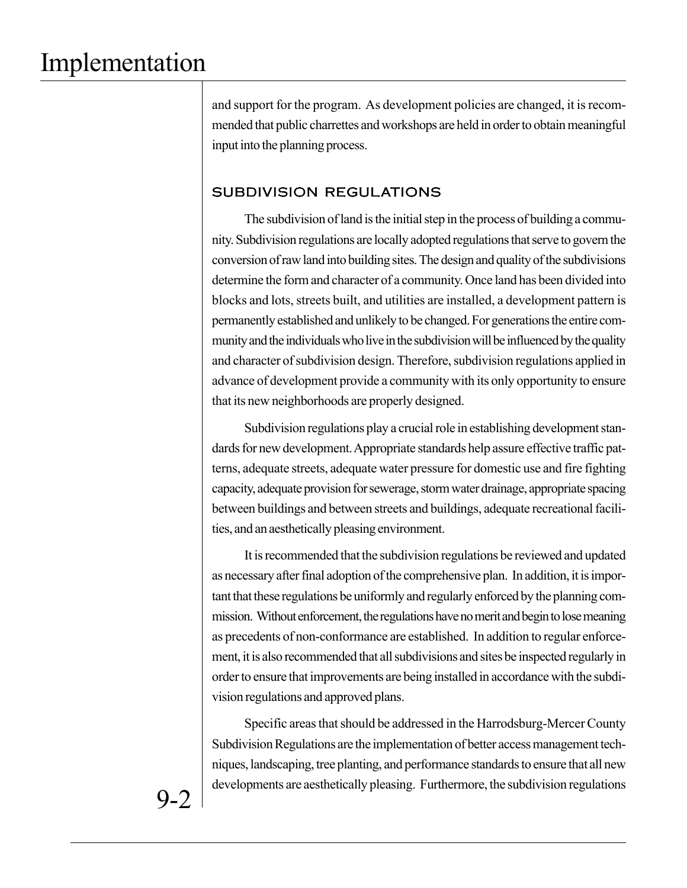and support for the program. As development policies are changed, it is recommended that public charrettes and workshops are held in order to obtain meaningful input into the planning process.

### SUBDIVISION REGULATIONS

The subdivision of land is the initial step in the process of building a community. Subdivision regulations are locally adopted regulations that serve to govern the conversion of raw land into building sites. The design and quality of the subdivisions determine the form and character of a community. Once land has been divided into blocks and lots, streets built, and utilities are installed, a development pattern is permanently established and unlikely to be changed. For generations the entire community and the individuals who live in the subdivision will be influenced by the quality and character of subdivision design. Therefore, subdivision regulations applied in advance of development provide a community with its only opportunity to ensure that its new neighborhoods are properly designed.

Subdivision regulations play a crucial role in establishing development standards for new development. Appropriate standards help assure effective traffic patterns, adequate streets, adequate water pressure for domestic use and fire fighting capacity, adequate provision for sewerage, storm water drainage, appropriate spacing between buildings and between streets and buildings, adequate recreational facilities, and an aesthetically pleasing environment.

It is recommended that the subdivision regulations be reviewed and updated as necessary after final adoption of the comprehensive plan. In addition, it is important that these regulations be uniformly and regularly enforced by the planning commission. Without enforcement, the regulations have no merit and begin to lose meaning as precedents of non-conformance are established. In addition to regular enforcement, it is also recommended that all subdivisions and sites be inspected regularly in order to ensure that improvements are being installed in accordance with the subdivision regulations and approved plans.

Specific areas that should be addressed in the Harrodsburg-Mercer County Subdivision Regulations are the implementation of better access management techniques, landscaping, tree planting, and performance standards to ensure that all new developments are aesthetically pleasing. Furthermore, the subdivision regulations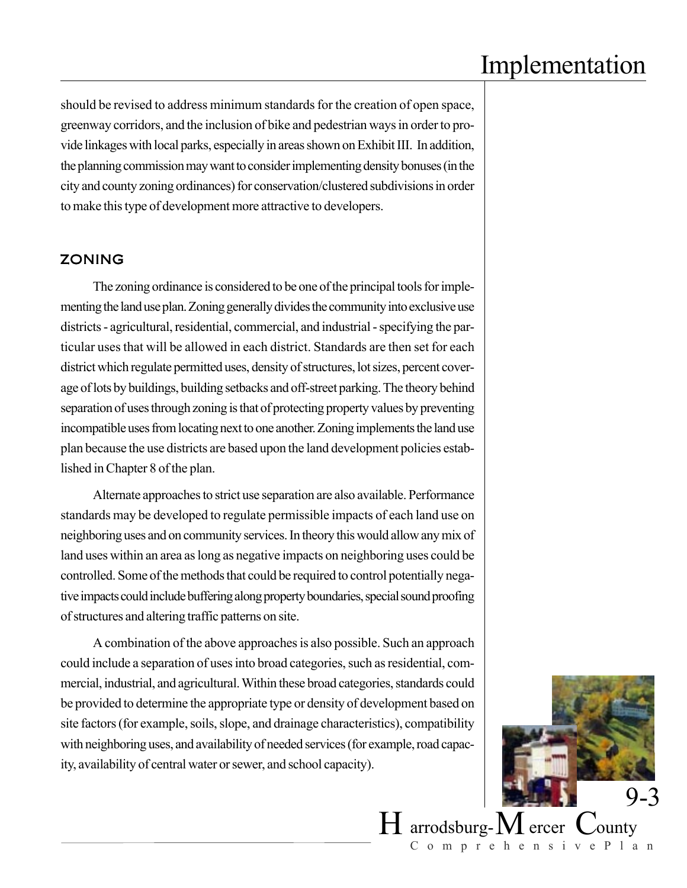should be revised to address minimum standards for the creation of open space, greenway corridors, and the inclusion of bike and pedestrian ways in order to provide linkages with local parks, especially in areas shown on Exhibit III. In addition, the planning commission may want to consider implementing density bonuses (in the city and county zoning ordinances) for conservation/clustered subdivisions in order to make this type of development more attractive to developers.

#### ZONING

The zoning ordinance is considered to be one of the principal tools for implementing the land use plan. Zoning generally divides the community into exclusive use districts - agricultural, residential, commercial, and industrial - specifying the particular uses that will be allowed in each district. Standards are then set for each district which regulate permitted uses, density of structures, lot sizes, percent coverage of lots by buildings, building setbacks and off-street parking. The theory behind separation of uses through zoning is that of protecting property values by preventing incompatible uses from locating next to one another. Zoning implements the land use plan because the use districts are based upon the land development policies established in Chapter 8 of the plan.

Alternate approaches to strict use separation are also available. Performance standards may be developed to regulate permissible impacts of each land use on neighboring uses and on community services. In theory this would allow any mix of land uses within an area as long as negative impacts on neighboring uses could be controlled. Some of the methods that could be required to control potentially negative impacts could include buffering along property boundaries, special sound proofing of structures and altering traffic patterns on site.

A combination of the above approaches is also possible. Such an approach could include a separation of uses into broad categories, such as residential, commercial, industrial, and agricultural. Within these broad categories, standards could be provided to determine the appropriate type or density of development based on site factors (for example, soils, slope, and drainage characteristics), compatibility with neighboring uses, and availability of needed services (for example, road capacity, availability of central water or sewer, and school capacity).



ComprehensivePlan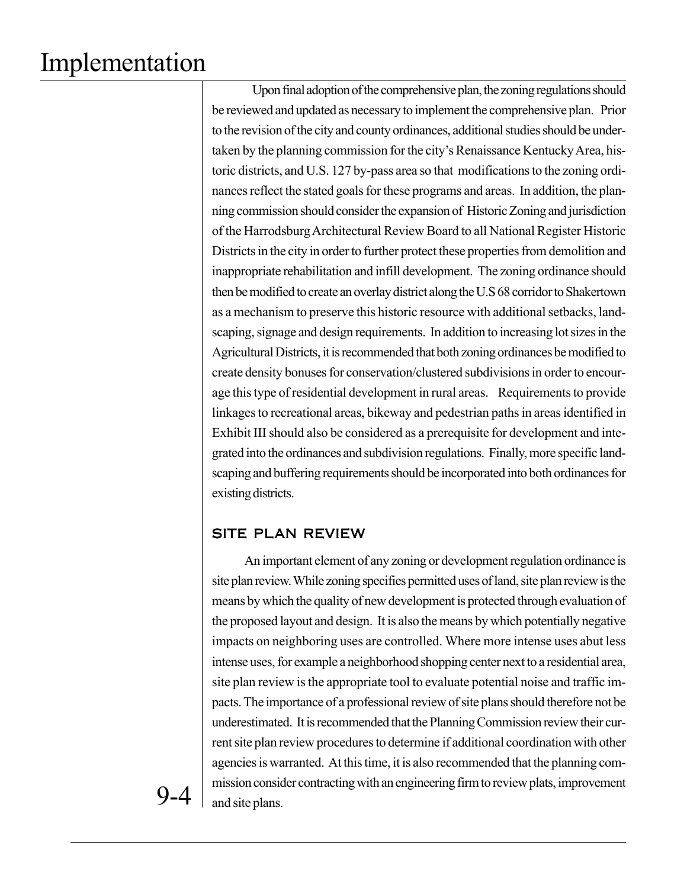Upon final adoption of the comprehensive plan, the zoning regulations should be reviewed and updated as necessary to implement the comprehensive plan. Prior to the revision of the city and county ordinances, additional studies should be undertaken by the planning commission for the city's Renaissance Kentucky Area, historic districts, and U.S. 127 by-pass area so that modifications to the zoning ordinances reflect the stated goals for these programs and areas. In addition, the planning commission should consider the expansion of Historic Zoning and jurisdiction of the Harrodsburg Architectural Review Board to all National Register Historic Districts in the city in order to further protect these properties from demolition and inappropriate rehabilitation and infill development. The zoning ordinance should then be modified to create an overlay district along the U.S 68 corridor to Shakertown as a mechanism to preserve this historic resource with additional setbacks, landscaping, signage and design requirements. In addition to increasing lot sizes in the Agricultural Districts, it is recommended that both zoning ordinances be modified to create density bonuses for conservation/clustered subdivisions in order to encourage this type of residential development in rural areas. Requirements to provide linkages to recreational areas, bikeway and pedestrian paths in areas identified in Exhibit III should also be considered as a prerequisite for development and integrated into the ordinances and subdivision regulations. Finally, more specific landscaping and buffering requirements should be incorporated into both ordinances for existing districts.

## SITE PLAN REVIEW

An important element of any zoning or development regulation ordinance is site plan review. While zoning specifies permitted uses of land, site plan review is the means by which the quality of new development is protected through evaluation of the proposed layout and design. It is also the means by which potentially negative impacts on neighboring uses are controlled. Where more intense uses abut less intense uses, for example a neighborhood shopping center next to a residential area, site plan review is the appropriate tool to evaluate potential noise and traffic impacts. The importance of a professional review of site plans should therefore not be underestimated. It is recommended that the Planning Commission review their current site plan review procedures to determine if additional coordination with other agencies is warranted. At this time, it is also recommended that the planning commission consider contracting with an engineering firm to review plats, improvement and site plans.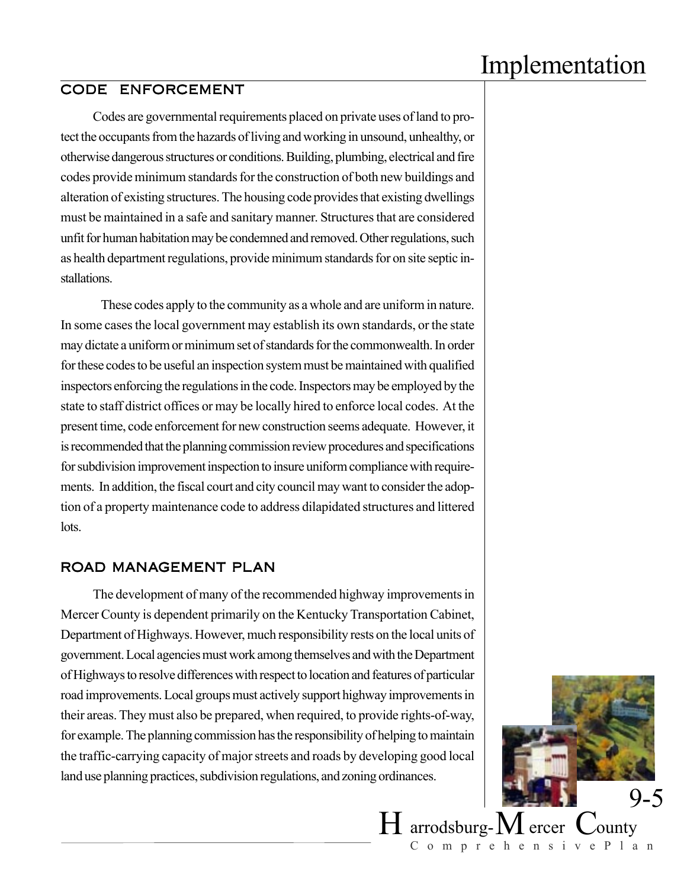### CODE ENFORCEMENT

Codes are governmental requirements placed on private uses of land to protect the occupants from the hazards of living and working in unsound, unhealthy, or otherwise dangerous structures or conditions. Building, plumbing, electrical and fire codes provide minimum standards for the construction of both new buildings and alteration of existing structures. The housing code provides that existing dwellings must be maintained in a safe and sanitary manner. Structures that are considered unfit for human habitation may be condemned and removed. Other regulations, such as health department regulations, provide minimum standards for on site septic installations.

These codes apply to the community as a whole and are uniform in nature. In some cases the local government may establish its own standards, or the state may dictate a uniform or minimum set of standards for the commonwealth. In order for these codes to be useful an inspection system must be maintained with qualified inspectors enforcing the regulations in the code. Inspectors may be employed by the state to staff district offices or may be locally hired to enforce local codes. At the present time, code enforcement for new construction seems adequate. However, it is recommended that the planning commission review procedures and specifications for subdivision improvement inspection to insure uniform compliance with requirements. In addition, the fiscal court and city council may want to consider the adoption of a property maintenance code to address dilapidated structures and littered lots.

#### ROAD MANAGEMENT PLAN

The development of many of the recommended highway improvements in Mercer County is dependent primarily on the Kentucky Transportation Cabinet, Department of Highways. However, much responsibility rests on the local units of government. Local agencies must work among themselves and with the Department of Highways to resolve differences with respect to location and features of particular road improvements. Local groups must actively support highway improvements in their areas. They must also be prepared, when required, to provide rights-of-way, for example. The planning commission has the responsibility of helping to maintain the traffic-carrying capacity of major streets and roads by developing good local land use planning practices, subdivision regulations, and zoning ordinances.



ComprehensivePlan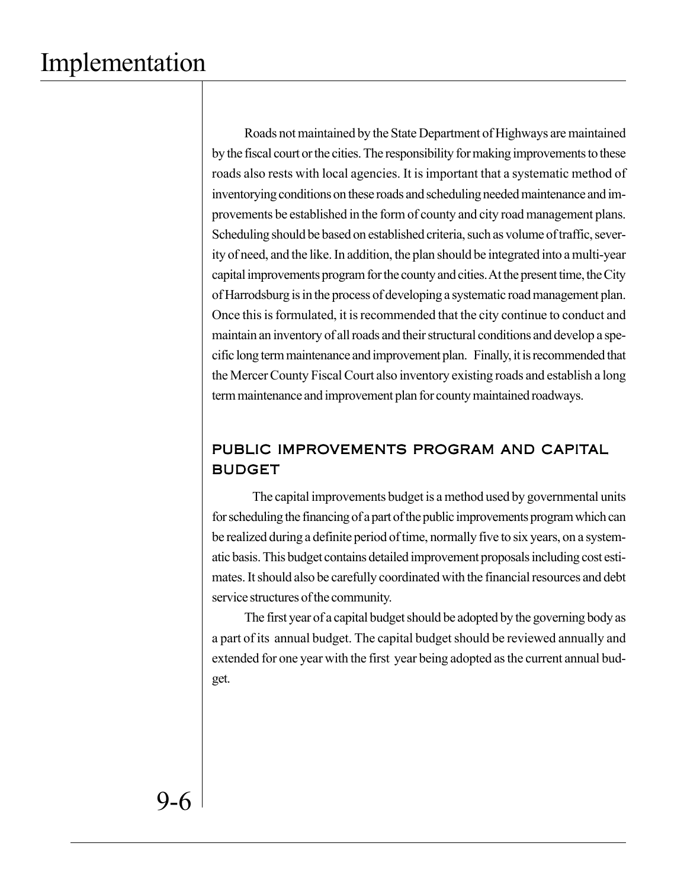Roads not maintained by the State Department of Highways are maintained by the fiscal court or the cities. The responsibility for making improvements to these roads also rests with local agencies. It is important that a systematic method of inventorying conditions on these roads and scheduling needed maintenance and improvements be established in the form of county and city road management plans. Scheduling should be based on established criteria, such as volume of traffic, severity of need, and the like. In addition, the plan should be integrated into a multi-year capital improvements program for the county and cities. At thepresent time, the City of Harrodsburg is in the process of developing a systematic road management plan. Once this is formulated, it is recommended that the city continue to conduct and maintain an inventory of all roads and their structural conditions and develop a specific long term maintenance and improvement plan. Finally, it is recommended that the Mercer County Fiscal Court also inventory existing roads and establish a long term maintenance and improvement plan for county maintained roadways.

## PUBLIC IMPROVEMENTS PROGRAM AND CAPITAL BUDGET

The capital improvements budget is a method used by governmental units for scheduling the financing of a part of the public improvements program which can be realized during a definite period of time, normally five to six years, on a systematic basis. This budget contains detailed improvement proposals including cost estimates. It should also be carefully coordinated with the financial resources and debt service structures of the community.

The first year of a capital budget should be adopted by the governing body as a part of its annual budget. The capital budget should be reviewed annually and extended for one year with the first year being adopted as the current annual budget.

9-6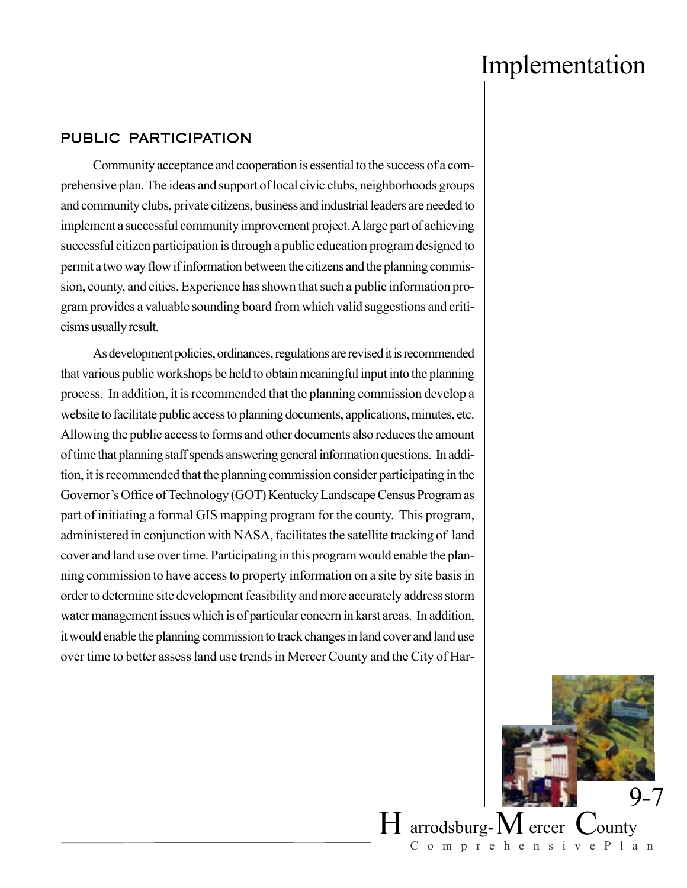### PUBLIC PARTICIPATION

Community acceptance and cooperation is essential to the success of a comprehensive plan. The ideas and support of local civic clubs, neighborhoods groups and community clubs, private citizens, business and industrial leaders are needed to implement a successful community improvement project. A large part of achieving successful citizen participation is through a public education program designed to permit a two way flow if information between the citizens and the planning commission, county, and cities. Experience has shown that such a public information program provides a valuable sounding board from which valid suggestions and criticisms usually result.

As development policies, ordinances, regulations are revised it is recommended that various public workshops be held to obtain meaningful input into the planning process. In addition, it is recommended that the planning commission develop a website to facilitate public access to planning documents, applications, minutes, etc. Allowing the public access to forms and other documents also reduces the amount of time that planning staff spends answering general information questions. In addition, it is recommended that the planning commission consider participating in the Governor's Office of Technology (GOT) Kentucky Landscape Census Program as part of initiating a formal GIS mapping program for the county. This program, administered in conjunction with NASA, facilitates the satellite tracking of land cover and land use over time. Participating in this program would enable the planning commission to have access to property information on a site by site basis in order to determine site development feasibility and more accurately address storm water management issues which is of particular concern in karst areas. In addition, it would enable the planning commission to track changes in land cover and land use over time to better assess land use trends in Mercer County and the City of Har-